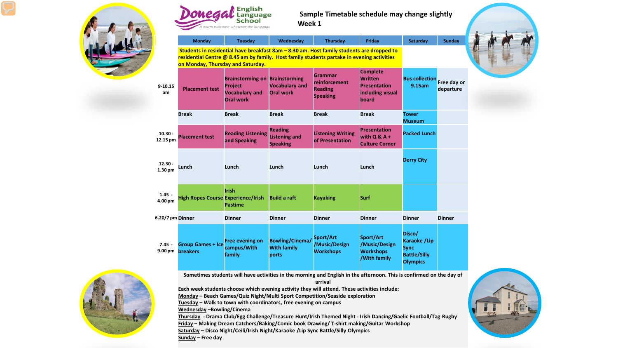



# **Sample Timetable schedule may change slightly Week 1**

|                                  | <b>Monday</b>                                                                                                                                                                                                                | <b>Tuesday</b>                                                                                       | Wednesday                                                 | Thursday                                                      | Friday                                                                                | Saturday                                                                        | <b>Sunday</b> |
|----------------------------------|------------------------------------------------------------------------------------------------------------------------------------------------------------------------------------------------------------------------------|------------------------------------------------------------------------------------------------------|-----------------------------------------------------------|---------------------------------------------------------------|---------------------------------------------------------------------------------------|---------------------------------------------------------------------------------|---------------|
|                                  |                                                                                                                                                                                                                              |                                                                                                      |                                                           |                                                               |                                                                                       |                                                                                 |               |
|                                  | Students in residential have breakfast 8am - 8.30 am. Host family students are dropped to<br>residential Centre @ 8.45 am by family. Host family students partake in evening activities<br>on Monday, Thursday and Saturday. |                                                                                                      |                                                           |                                                               |                                                                                       |                                                                                 |               |
| $9 - 10.15$<br>am                | <b>Placement test</b>                                                                                                                                                                                                        | <b>Brainstorming on Brainstorming</b><br><b>Project</b><br><b>Vocabulary and</b><br><b>Oral work</b> | <b>Vocabulary and</b><br><b>Oral work</b>                 | Grammar<br>reinforcement<br><b>Reading</b><br><b>Speaking</b> | <b>Complete</b><br><b>Written</b><br><b>Presentation</b><br>including visual<br>board | <b>Bus collection</b> Free day or<br>9.15am                                     | departure     |
|                                  | <b>Break</b>                                                                                                                                                                                                                 | <b>Break</b>                                                                                         | <b>Break</b>                                              | <b>Break</b>                                                  | <b>Break</b>                                                                          | Tower<br><b>Museum</b>                                                          |               |
| $10.30 -$<br>12.15 pm            | <b>Placement test</b>                                                                                                                                                                                                        | <b>Reading Listening</b><br>and Speaking                                                             | <b>Reading</b><br><b>Listening and</b><br><b>Speaking</b> | <b>Listening Writing</b><br>of Presentation                   | <b>Presentation</b><br>with $Q & A +$<br><b>Culture Corner</b>                        | <b>Packed Lunch</b>                                                             |               |
| $12.30 -$<br>1.30 <sub>pm</sub>  | Lunch                                                                                                                                                                                                                        | Lunch                                                                                                | Lunch                                                     | Lunch                                                         | Lunch                                                                                 | <b>Derry City</b>                                                               |               |
| $1.45 -$<br>4.00 pm              | <b>High Ropes Course Experience/Irish</b>                                                                                                                                                                                    | <b>Irish</b><br><b>Pastime</b>                                                                       | <b>Build a raft</b>                                       | <b>Kayaking</b>                                               | Surf                                                                                  |                                                                                 |               |
| 6.20/7 pm Dinner                 |                                                                                                                                                                                                                              | <b>Dinner</b>                                                                                        | <b>Dinner</b>                                             | <b>Dinner</b>                                                 | <b>Dinner</b>                                                                         | <b>Dinner</b>                                                                   | <b>Dinner</b> |
| $7.45 -$<br>$9.00 \,\mathrm{pm}$ | <b>Group Games + Ice</b><br><b>breakers</b>                                                                                                                                                                                  | <b>Free evening on</b><br>campus/With<br>family                                                      | <b>Bowling/Cinema/</b><br><b>With family</b><br>ports     | Sport/Art<br>/Music/Design<br><b>Workshops</b>                | Sport/Art<br>/Music/Design<br><b>Workshops</b><br><b>/With family</b>                 | Disco/<br>Karaoke /Lip<br><b>Sync</b><br><b>Battle/Silly</b><br><b>Olympics</b> |               |



**Sometimes students will have activities in the morning and English in the afternoon. This is confirmed on the day of arrival**

**Each week students choose which evening activity they will attend. These activities include:**

**Monday – Beach Games/Quiz Night/Multi Sport Competition/Seaside exploration**

**Tuesday – Walk to town with coordinators, free evening on campus**

**Wednesday –Bowling/Cinema**

**Thursday - Drama Club/Egg Challenge/Treasure Hunt/Irish Themed Night - Irish Dancing/Gaelic Football/Tag Rugby Friday – Making Dream Catchers/Baking/Comic book Drawing/ T-shirt making/Guitar Workshop Saturday – Disco Night/Ceili/Irish Night/Karaoke /Lip Sync Battle/Silly Olympics** 



**Sunday – Free day**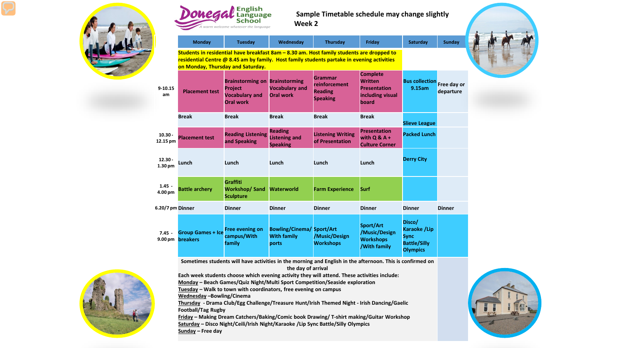



# **Sample Timetable schedule may change slightly Week 2**

|                                 | Monday                                                                                                                                                                                                                       | Tuesday                                                                                              | Wednesday                                                       | <b>Thursday</b>                                               | Friday                                                                                | Saturday                                                                               | <b>Sunday</b>            |
|---------------------------------|------------------------------------------------------------------------------------------------------------------------------------------------------------------------------------------------------------------------------|------------------------------------------------------------------------------------------------------|-----------------------------------------------------------------|---------------------------------------------------------------|---------------------------------------------------------------------------------------|----------------------------------------------------------------------------------------|--------------------------|
|                                 | Students in residential have breakfast 8am - 8.30 am. Host family students are dropped to<br>residential Centre @ 8.45 am by family. Host family students partake in evening activities<br>on Monday, Thursday and Saturday. |                                                                                                      |                                                                 |                                                               |                                                                                       |                                                                                        |                          |
| $9 - 10.15$<br>am               | <b>Placement test</b>                                                                                                                                                                                                        | <b>Brainstorming on Brainstorming</b><br><b>Project</b><br><b>Vocabulary and</b><br><b>Oral work</b> | <b>Vocabulary and</b><br><b>Oral work</b>                       | Grammar<br>reinforcement<br><b>Reading</b><br><b>Speaking</b> | <b>Complete</b><br><b>Written</b><br><b>Presentation</b><br>including visual<br>board | <b>Bus collection</b><br>9.15am                                                        | Free day or<br>departure |
|                                 | <b>Break</b>                                                                                                                                                                                                                 | <b>Break</b>                                                                                         | <b>Break</b>                                                    | <b>Break</b>                                                  | <b>Break</b>                                                                          | <b>Slieve League</b>                                                                   |                          |
| $10.30 -$<br>12.15 pm           | <b>Placement test</b>                                                                                                                                                                                                        | <b>Reading Listening</b><br>and Speaking                                                             | <b>Reading</b><br><b>Listening and</b><br><b>Speaking</b>       | <b>Listening Writing</b><br>of Presentation                   | <b>Presentation</b><br>with $Q & A +$<br><b>Culture Corner</b>                        | <b>Packed Lunch</b>                                                                    |                          |
| $12.30 -$<br>1.30 <sub>pm</sub> | Lunch                                                                                                                                                                                                                        | Lunch                                                                                                | Lunch                                                           | Lunch                                                         | Lunch                                                                                 | <b>Derry City</b>                                                                      |                          |
| $1.45 -$<br>4.00 pm             | <b>Battle archery</b>                                                                                                                                                                                                        | Graffiti<br><b>Workshop/Sand</b><br><b>Sculpture</b>                                                 | <b>Waterworld</b>                                               | <b>Farm Experience</b>                                        | Surf                                                                                  |                                                                                        |                          |
| 6.20/7 pm Dinner                |                                                                                                                                                                                                                              | <b>Dinner</b>                                                                                        | <b>Dinner</b>                                                   | <b>Dinner</b>                                                 | <b>Dinner</b>                                                                         | <b>Dinner</b>                                                                          | <b>Dinner</b>            |
| $7.45 -$<br>9.00 <sub>pm</sub>  | <b>Group Games + Ice</b><br><b>breakers</b>                                                                                                                                                                                  | <b>Free evening on</b><br>campus/With<br>family                                                      | <b>Bowling/Cinema/ Sport/Art</b><br><b>With family</b><br>ports | /Music/Design<br><b>Workshops</b>                             | Sport/Art<br>/Music/Design<br><b>Workshops</b><br><b>/With family</b>                 | Disco/<br><b>Karaoke /Lip</b><br><b>Sync</b><br><b>Battle/Silly</b><br><b>Olympics</b> |                          |

**Sometimes students will have activities in the morning and English in the afternoon. This is confirmed on the day of arrival**

**Each week students choose which evening activity they will attend. These activities include:**

**Monday – Beach Games/Quiz Night/Multi Sport Competition/Seaside exploration**

**Tuesday – Walk to town with coordinators, free evening on campus**

**Wednesday –Bowling/Cinema**

**Thursday - Drama Club/Egg Challenge/Treasure Hunt/Irish Themed Night - Irish Dancing/Gaelic Football/Tag Rugby**

**Friday – Making Dream Catchers/Baking/Comic book Drawing/ T-shirt making/Guitar Workshop Saturday – Disco Night/Ceili/Irish Night/Karaoke /Lip Sync Battle/Silly Olympics Sunday – Free day** 



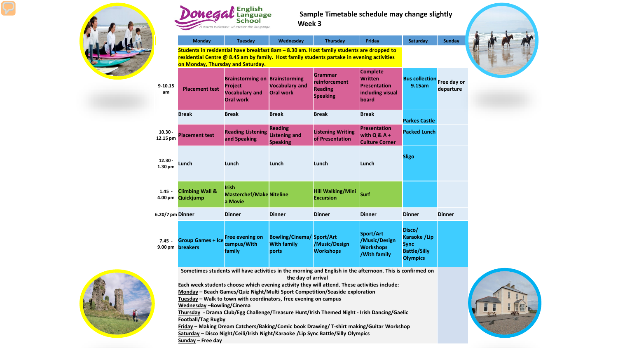



# **Sample Timetable schedule may change slightly Week 3**

|                                 | <b>Monday</b>                                                                                                                                                                                                                | Tuesday                                                                                              | Wednesday                                                       | <b>Thursday</b>                                                      | Friday                                                                                | Saturday                                                                               | <b>Sunday</b>            |
|---------------------------------|------------------------------------------------------------------------------------------------------------------------------------------------------------------------------------------------------------------------------|------------------------------------------------------------------------------------------------------|-----------------------------------------------------------------|----------------------------------------------------------------------|---------------------------------------------------------------------------------------|----------------------------------------------------------------------------------------|--------------------------|
|                                 | Students in residential have breakfast 8am - 8.30 am. Host family students are dropped to<br>residential Centre @ 8.45 am by family. Host family students partake in evening activities<br>on Monday, Thursday and Saturday. |                                                                                                      |                                                                 |                                                                      |                                                                                       |                                                                                        |                          |
| $9 - 10.15$<br>am               | <b>Placement test</b>                                                                                                                                                                                                        | <b>Brainstorming on Brainstorming</b><br><b>Project</b><br><b>Vocabulary and</b><br><b>Oral work</b> | <b>Vocabulary and</b><br><b>Oral work</b>                       | <b>Grammar</b><br>reinforcement<br><b>Reading</b><br><b>Speaking</b> | <b>Complete</b><br><b>Written</b><br><b>Presentation</b><br>including visual<br>board | <b>Bus collection</b><br>9.15am                                                        | Free day or<br>departure |
|                                 | <b>Break</b>                                                                                                                                                                                                                 | <b>Break</b>                                                                                         | <b>Break</b>                                                    | <b>Break</b>                                                         | <b>Break</b>                                                                          | <b>Parkes Castle</b>                                                                   |                          |
| $10.30 -$<br>12.15 pm           | <b>Placement test</b>                                                                                                                                                                                                        | <b>Reading Listening</b><br>and Speaking                                                             | <b>Reading</b><br><b>Listening and</b><br><b>Speaking</b>       | <b>Listening Writing</b><br>of Presentation                          | <b>Presentation</b><br>with $Q & A +$<br><b>Culture Corner</b>                        | <b>Packed Lunch</b>                                                                    |                          |
| $12.30 -$<br>1.30 <sub>pm</sub> | Lunch                                                                                                                                                                                                                        | Lunch                                                                                                | Lunch                                                           | Lunch                                                                | Lunch                                                                                 | <b>Sligo</b>                                                                           |                          |
| $1.45 -$<br>4.00 pm             | <b>Climbing Wall &amp;</b><br>Quickjump                                                                                                                                                                                      | <b>Irish</b><br><b>Masterchef/Make Niteline</b><br>a Movie                                           |                                                                 | <b>Hill Walking/Mini</b><br><b>Excursion</b>                         | Surf                                                                                  |                                                                                        |                          |
| 6.20/7 pm Dinner                |                                                                                                                                                                                                                              | <b>Dinner</b>                                                                                        | <b>Dinner</b>                                                   | <b>Dinner</b>                                                        | <b>Dinner</b>                                                                         | <b>Dinner</b>                                                                          | <b>Dinner</b>            |
| $7.45 -$<br>9.00 <sub>pm</sub>  | <b>Group Games + Ice</b><br><b>breakers</b>                                                                                                                                                                                  | <b>Free evening on</b><br>campus/With<br>family                                                      | <b>Bowling/Cinema/ Sport/Art</b><br><b>With family</b><br>ports | /Music/Design<br><b>Workshops</b>                                    | Sport/Art<br>/Music/Design<br><b>Workshops</b><br>/With family                        | Disco/<br><b>Karaoke /Lip</b><br><b>Sync</b><br><b>Battle/Silly</b><br><b>Olympics</b> |                          |



**Sometimes students will have activities in the morning and English in the afternoon. This is confirmed on the day of arrival**

**Each week students choose which evening activity they will attend. These activities include:**

**Monday – Beach Games/Quiz Night/Multi Sport Competition/Seaside exploration**

**Tuesday – Walk to town with coordinators, free evening on campus**

**Wednesday –Bowling/Cinema**

**Thursday - Drama Club/Egg Challenge/Treasure Hunt/Irish Themed Night - Irish Dancing/Gaelic Football/Tag Rugby**

**Friday – Making Dream Catchers/Baking/Comic book Drawing/ T-shirt making/Guitar Workshop Saturday – Disco Night/Ceili/Irish Night/Karaoke /Lip Sync Battle/Silly Olympics** 



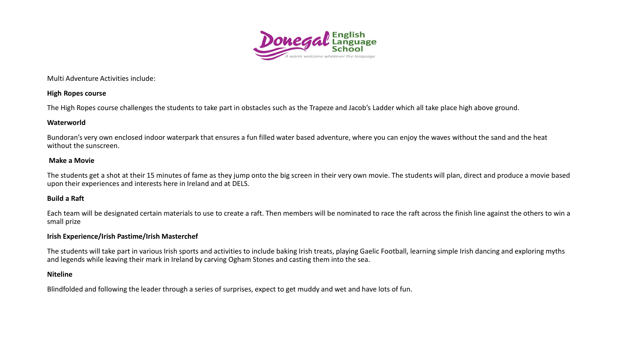

Multi Adventure Activities include:

### **High Ropes course**

The High Ropes course challenges the students to take part in obstacles such as the Trapeze and Jacob's Ladder which all take place high above ground.

### **Waterworld**

Bundoran's very own enclosed indoor waterpark that ensures a fun filled water based adventure, where you can enjoy the waves without the sand and the heat without the sunscreen.

### **Make a Movie**

The students get a shot at their 15 minutes of fame as they jump onto the big screen in their very own movie. The students will plan, direct and produce a movie based upon their experiences and interests here in Ireland and at DELS.

### **Build a Raft**

Each team will be designated certain materials to use to create a raft. Then members will be nominated to race the raft across the finish line against the others to win a small prize

### **Irish Experience/Irish Pastime/Irish Masterchef**

The students will take part in various Irish sports and activities to include baking Irish treats, playing Gaelic Football, learning simple Irish dancing and exploring myths and legends while leaving their mark in Ireland by carving Ogham Stones and casting them into the sea.

## **Niteline**

Blindfolded and following the leader through a series of surprises, expect to get muddy and wet and have lots of fun.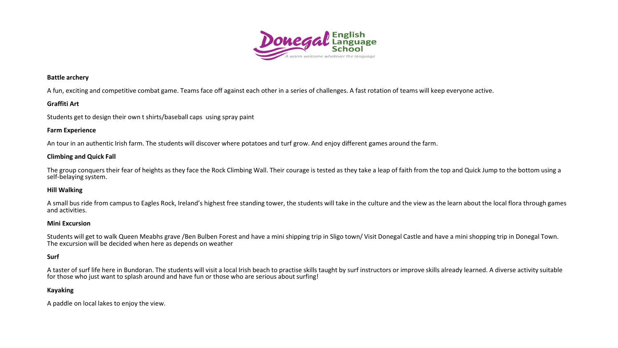

#### **Battle archery**

A fun, exciting and competitive combat game. Teams face off against each other in a series of challenges. A fast rotation of teams will keep everyone active.

### **Graffiti Art**

Students get to design their own t shirts/baseball caps using spray paint

#### **Farm Experience**

An tour in an authentic Irish farm. The students will discover where potatoes and turf grow. And enjoy different games around the farm.

#### **Climbing and Quick Fall**

The group conquers their fear of heights as they face the Rock Climbing Wall. Their courage is tested as they take a leap of faith from the top and Quick Jump to the bottom using a self-belaying system.

#### **Hill Walking**

A small bus ride from campus to Eagles Rock, Ireland's highest free standing tower, the students will take in the culture and the view as the learn about the local flora through games and activities.

#### **Mini Excursion**

Students will get to walk Queen Meabhs grave /Ben Bulben Forest and have a mini shipping trip in Sligo town/ Visit Donegal Castle and have a mini shopping trip in Donegal Town. The excursion will be decided when here as depends on weather

#### **Surf**

A taster of surf life here in Bundoran. The students will visit a local Irish beach to practise skills taught by surf instructors or improve skills already learned. A diverse activity suitable for those who just want to splash around and have fun or those who are serious about surfing!

### **Kayaking**

A paddle on local lakes to enjoy the view.